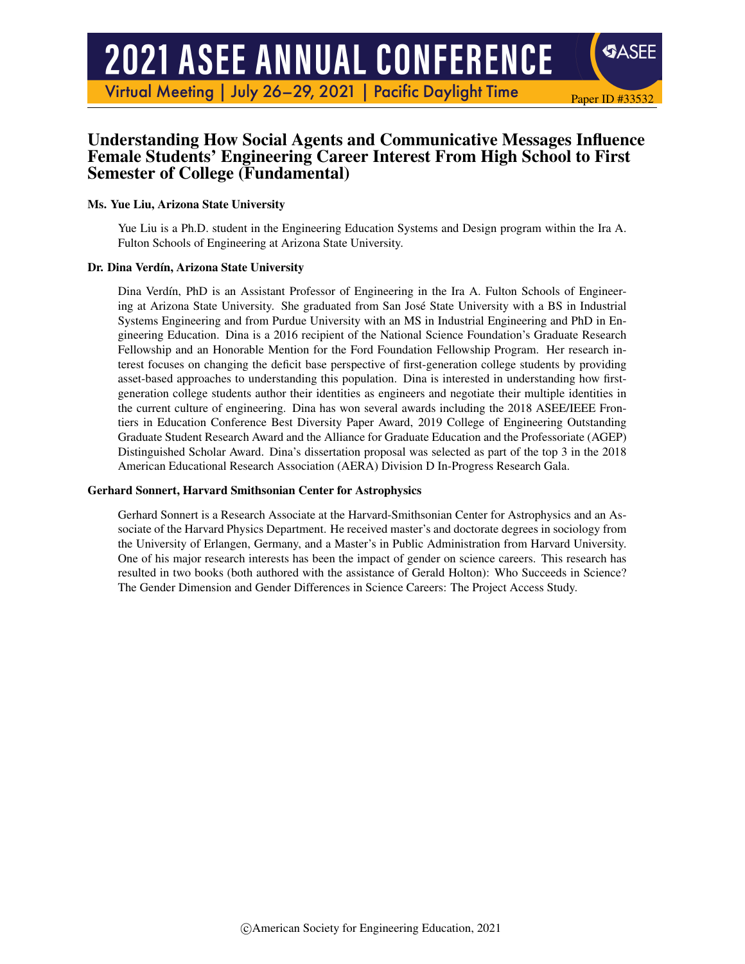# **2021 ASEE ANNUAL CONFERENCE**

Virtual Meeting | July 26-29, 2021 | Pacific Daylight Time

# Understanding How Social Agents and Communicative Messages Influence Female Students' Engineering Career Interest From High School to First Semester of College (Fundamental)

Paper ID #33532

SASEE

#### Ms. Yue Liu, Arizona State University

Yue Liu is a Ph.D. student in the Engineering Education Systems and Design program within the Ira A. Fulton Schools of Engineering at Arizona State University.

#### Dr. Dina Verdín, Arizona State University

Dina Verdín, PhD is an Assistant Professor of Engineering in the Ira A. Fulton Schools of Engineering at Arizona State University. She graduated from San Jose State University with a BS in Industrial ´ Systems Engineering and from Purdue University with an MS in Industrial Engineering and PhD in Engineering Education. Dina is a 2016 recipient of the National Science Foundation's Graduate Research Fellowship and an Honorable Mention for the Ford Foundation Fellowship Program. Her research interest focuses on changing the deficit base perspective of first-generation college students by providing asset-based approaches to understanding this population. Dina is interested in understanding how firstgeneration college students author their identities as engineers and negotiate their multiple identities in the current culture of engineering. Dina has won several awards including the 2018 ASEE/IEEE Frontiers in Education Conference Best Diversity Paper Award, 2019 College of Engineering Outstanding Graduate Student Research Award and the Alliance for Graduate Education and the Professoriate (AGEP) Distinguished Scholar Award. Dina's dissertation proposal was selected as part of the top 3 in the 2018 American Educational Research Association (AERA) Division D In-Progress Research Gala.

#### Gerhard Sonnert, Harvard Smithsonian Center for Astrophysics

Gerhard Sonnert is a Research Associate at the Harvard-Smithsonian Center for Astrophysics and an Associate of the Harvard Physics Department. He received master's and doctorate degrees in sociology from the University of Erlangen, Germany, and a Master's in Public Administration from Harvard University. One of his major research interests has been the impact of gender on science careers. This research has resulted in two books (both authored with the assistance of Gerald Holton): Who Succeeds in Science? The Gender Dimension and Gender Differences in Science Careers: The Project Access Study.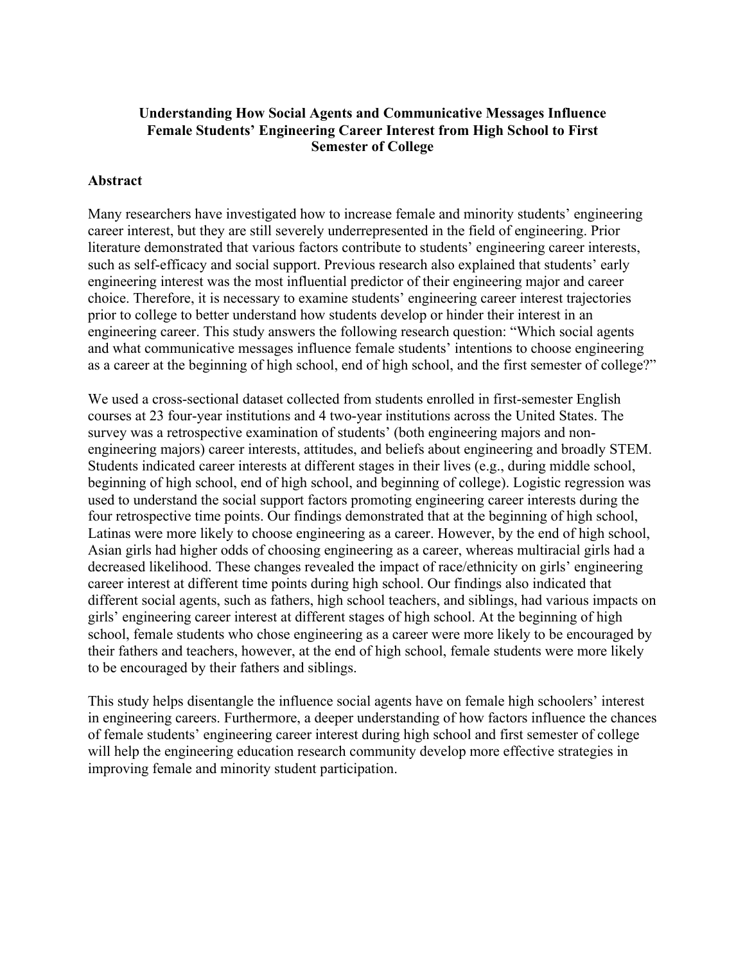## **Understanding How Social Agents and Communicative Messages Influence Female Students' Engineering Career Interest from High School to First Semester of College**

#### **Abstract**

Many researchers have investigated how to increase female and minority students' engineering career interest, but they are still severely underrepresented in the field of engineering. Prior literature demonstrated that various factors contribute to students' engineering career interests, such as self-efficacy and social support. Previous research also explained that students' early engineering interest was the most influential predictor of their engineering major and career choice. Therefore, it is necessary to examine students' engineering career interest trajectories prior to college to better understand how students develop or hinder their interest in an engineering career. This study answers the following research question: "Which social agents and what communicative messages influence female students' intentions to choose engineering as a career at the beginning of high school, end of high school, and the first semester of college?"

We used a cross-sectional dataset collected from students enrolled in first-semester English courses at 23 four-year institutions and 4 two-year institutions across the United States. The survey was a retrospective examination of students' (both engineering majors and nonengineering majors) career interests, attitudes, and beliefs about engineering and broadly STEM. Students indicated career interests at different stages in their lives (e.g., during middle school, beginning of high school, end of high school, and beginning of college). Logistic regression was used to understand the social support factors promoting engineering career interests during the four retrospective time points. Our findings demonstrated that at the beginning of high school, Latinas were more likely to choose engineering as a career. However, by the end of high school, Asian girls had higher odds of choosing engineering as a career, whereas multiracial girls had a decreased likelihood. These changes revealed the impact of race/ethnicity on girls' engineering career interest at different time points during high school. Our findings also indicated that different social agents, such as fathers, high school teachers, and siblings, had various impacts on girls' engineering career interest at different stages of high school. At the beginning of high school, female students who chose engineering as a career were more likely to be encouraged by their fathers and teachers, however, at the end of high school, female students were more likely to be encouraged by their fathers and siblings.

This study helps disentangle the influence social agents have on female high schoolers' interest in engineering careers. Furthermore, a deeper understanding of how factors influence the chances of female students' engineering career interest during high school and first semester of college will help the engineering education research community develop more effective strategies in improving female and minority student participation.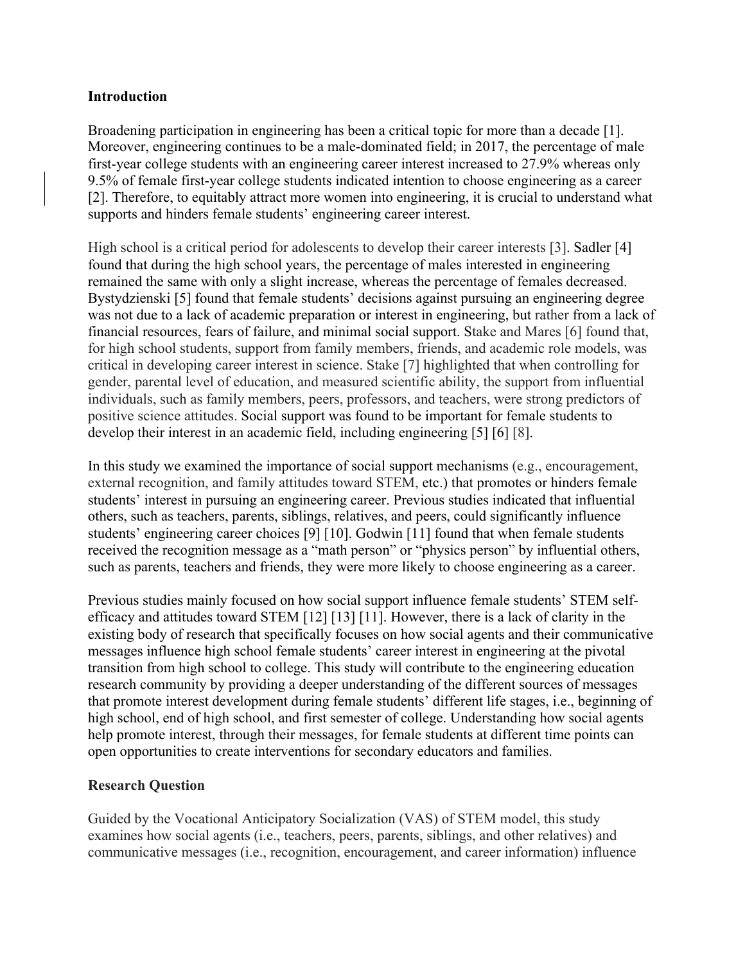#### **Introduction**

Broadening participation in engineering has been a critical topic for more than a decade [1]. Moreover, engineering continues to be a male-dominated field; in 2017, the percentage of male first-year college students with an engineering career interest increased to 27.9% whereas only 9.5% of female first-year college students indicated intention to choose engineering as a career [2]. Therefore, to equitably attract more women into engineering, it is crucial to understand what supports and hinders female students' engineering career interest.

High school is a critical period for adolescents to develop their career interests [3]. Sadler [4] found that during the high school years, the percentage of males interested in engineering remained the same with only a slight increase, whereas the percentage of females decreased. Bystydzienski [5] found that female students' decisions against pursuing an engineering degree was not due to a lack of academic preparation or interest in engineering, but rather from a lack of financial resources, fears of failure, and minimal social support. Stake and Mares [6] found that, for high school students, support from family members, friends, and academic role models, was critical in developing career interest in science. Stake [7] highlighted that when controlling for gender, parental level of education, and measured scientific ability, the support from influential individuals, such as family members, peers, professors, and teachers, were strong predictors of positive science attitudes. Social support was found to be important for female students to develop their interest in an academic field, including engineering [5] [6] [8].

In this study we examined the importance of social support mechanisms (e.g., encouragement, external recognition, and family attitudes toward STEM, etc.) that promotes or hinders female students' interest in pursuing an engineering career. Previous studies indicated that influential others, such as teachers, parents, siblings, relatives, and peers, could significantly influence students' engineering career choices [9] [10]. Godwin [11] found that when female students received the recognition message as a "math person" or "physics person" by influential others, such as parents, teachers and friends, they were more likely to choose engineering as a career.

Previous studies mainly focused on how social support influence female students' STEM selfefficacy and attitudes toward STEM [12] [13] [11]. However, there is a lack of clarity in the existing body of research that specifically focuses on how social agents and their communicative messages influence high school female students' career interest in engineering at the pivotal transition from high school to college. This study will contribute to the engineering education research community by providing a deeper understanding of the different sources of messages that promote interest development during female students' different life stages, i.e., beginning of high school, end of high school, and first semester of college. Understanding how social agents help promote interest, through their messages, for female students at different time points can open opportunities to create interventions for secondary educators and families.

## **Research Question**

Guided by the Vocational Anticipatory Socialization (VAS) of STEM model, this study examines how social agents (i.e., teachers, peers, parents, siblings, and other relatives) and communicative messages (i.e., recognition, encouragement, and career information) influence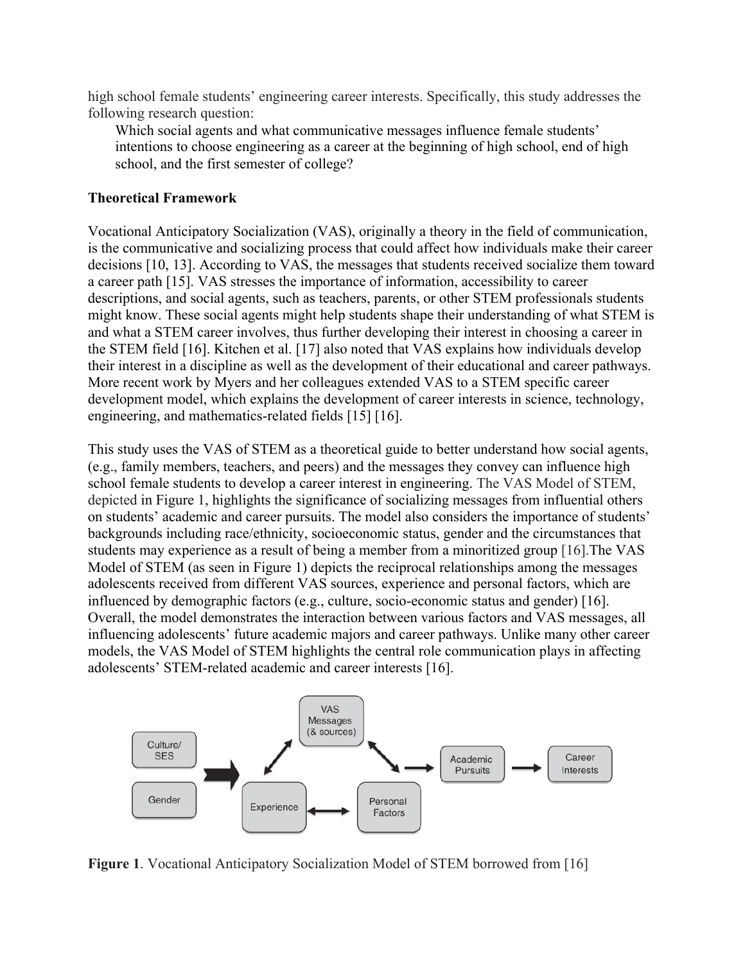high school female students' engineering career interests. Specifically, this study addresses the following research question:

Which social agents and what communicative messages influence female students' intentions to choose engineering as a career at the beginning of high school, end of high school, and the first semester of college?

#### **Theoretical Framework**

Vocational Anticipatory Socialization (VAS), originally a theory in the field of communication, is the communicative and socializing process that could affect how individuals make their career decisions [10, 13]. According to VAS, the messages that students received socialize them toward a career path [15]. VAS stresses the importance of information, accessibility to career descriptions, and social agents, such as teachers, parents, or other STEM professionals students might know. These social agents might help students shape their understanding of what STEM is and what a STEM career involves, thus further developing their interest in choosing a career in the STEM field [16]. Kitchen et al. [17] also noted that VAS explains how individuals develop their interest in a discipline as well as the development of their educational and career pathways. More recent work by Myers and her colleagues extended VAS to a STEM specific career development model, which explains the development of career interests in science, technology, engineering, and mathematics-related fields [15] [16].

This study uses the VAS of STEM as a theoretical guide to better understand how social agents, (e.g., family members, teachers, and peers) and the messages they convey can influence high school female students to develop a career interest in engineering. The VAS Model of STEM, depicted in Figure 1, highlights the significance of socializing messages from influential others on students' academic and career pursuits. The model also considers the importance of students' backgrounds including race/ethnicity, socioeconomic status, gender and the circumstances that students may experience as a result of being a member from a minoritized group [16].The VAS Model of STEM (as seen in Figure 1) depicts the reciprocal relationships among the messages adolescents received from different VAS sources, experience and personal factors, which are influenced by demographic factors (e.g., culture, socio-economic status and gender) [16]. Overall, the model demonstrates the interaction between various factors and VAS messages, all influencing adolescents' future academic majors and career pathways. Unlike many other career models, the VAS Model of STEM highlights the central role communication plays in affecting adolescents' STEM-related academic and career interests [16].



**Figure 1**. Vocational Anticipatory Socialization Model of STEM borrowed from [16]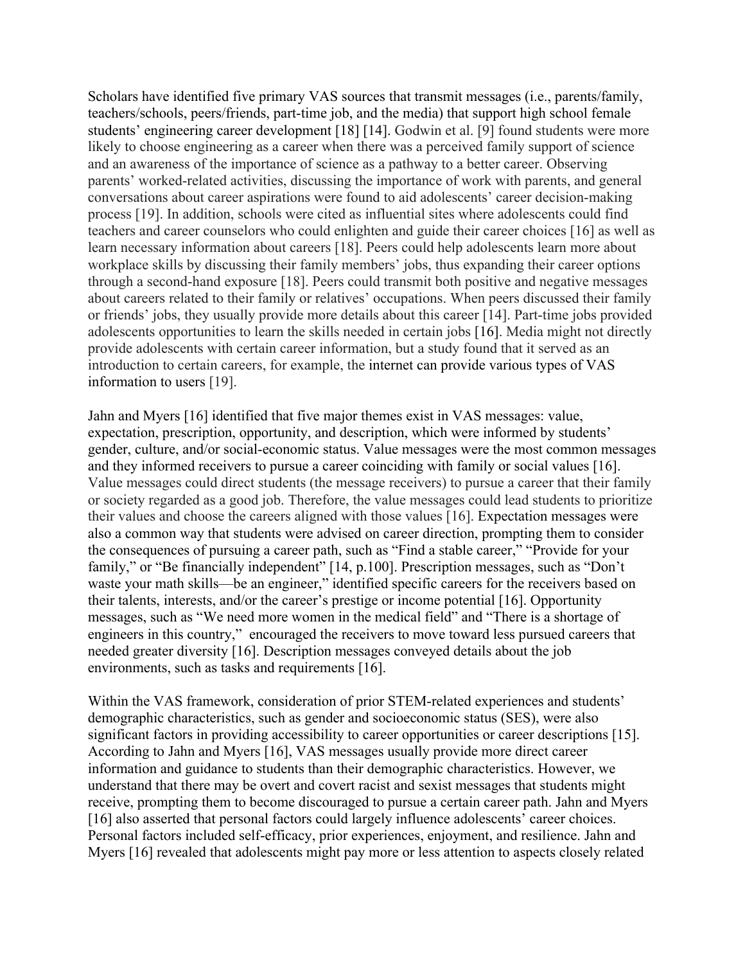Scholars have identified five primary VAS sources that transmit messages (i.e., parents/family, teachers/schools, peers/friends, part-time job, and the media) that support high school female students' engineering career development [18] [14]. Godwin et al. [9] found students were more likely to choose engineering as a career when there was a perceived family support of science and an awareness of the importance of science as a pathway to a better career. Observing parents' worked-related activities, discussing the importance of work with parents, and general conversations about career aspirations were found to aid adolescents' career decision-making process [19]. In addition, schools were cited as influential sites where adolescents could find teachers and career counselors who could enlighten and guide their career choices [16] as well as learn necessary information about careers [18]. Peers could help adolescents learn more about workplace skills by discussing their family members' jobs, thus expanding their career options through a second-hand exposure [18]. Peers could transmit both positive and negative messages about careers related to their family or relatives' occupations. When peers discussed their family or friends' jobs, they usually provide more details about this career [14]. Part-time jobs provided adolescents opportunities to learn the skills needed in certain jobs [16]. Media might not directly provide adolescents with certain career information, but a study found that it served as an introduction to certain careers, for example, the internet can provide various types of VAS information to users [19].

Jahn and Myers [16] identified that five major themes exist in VAS messages: value, expectation, prescription, opportunity, and description, which were informed by students' gender, culture, and/or social-economic status. Value messages were the most common messages and they informed receivers to pursue a career coinciding with family or social values [16]. Value messages could direct students (the message receivers) to pursue a career that their family or society regarded as a good job. Therefore, the value messages could lead students to prioritize their values and choose the careers aligned with those values [16]. Expectation messages were also a common way that students were advised on career direction, prompting them to consider the consequences of pursuing a career path, such as "Find a stable career," "Provide for your family," or "Be financially independent" [14, p.100]. Prescription messages, such as "Don't waste your math skills—be an engineer," identified specific careers for the receivers based on their talents, interests, and/or the career's prestige or income potential [16]. Opportunity messages, such as "We need more women in the medical field" and "There is a shortage of engineers in this country," encouraged the receivers to move toward less pursued careers that needed greater diversity [16]. Description messages conveyed details about the job environments, such as tasks and requirements [16].

Within the VAS framework, consideration of prior STEM-related experiences and students' demographic characteristics, such as gender and socioeconomic status (SES), were also significant factors in providing accessibility to career opportunities or career descriptions [15]. According to Jahn and Myers [16], VAS messages usually provide more direct career information and guidance to students than their demographic characteristics. However, we understand that there may be overt and covert racist and sexist messages that students might receive, prompting them to become discouraged to pursue a certain career path. Jahn and Myers [16] also asserted that personal factors could largely influence adolescents' career choices. Personal factors included self-efficacy, prior experiences, enjoyment, and resilience. Jahn and Myers [16] revealed that adolescents might pay more or less attention to aspects closely related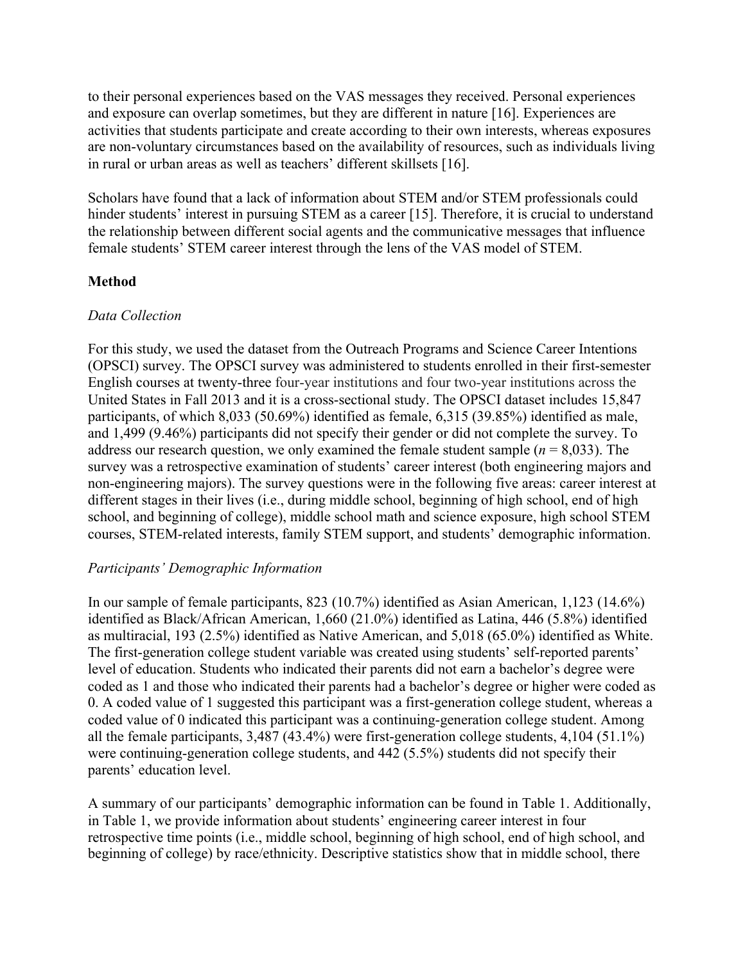to their personal experiences based on the VAS messages they received. Personal experiences and exposure can overlap sometimes, but they are different in nature [16]. Experiences are activities that students participate and create according to their own interests, whereas exposures are non-voluntary circumstances based on the availability of resources, such as individuals living in rural or urban areas as well as teachers' different skillsets [16].

Scholars have found that a lack of information about STEM and/or STEM professionals could hinder students' interest in pursuing STEM as a career [15]. Therefore, it is crucial to understand the relationship between different social agents and the communicative messages that influence female students' STEM career interest through the lens of the VAS model of STEM.

## **Method**

#### *Data Collection*

For this study, we used the dataset from the Outreach Programs and Science Career Intentions (OPSCI) survey. The OPSCI survey was administered to students enrolled in their first-semester English courses at twenty-three four-year institutions and four two-year institutions across the United States in Fall 2013 and it is a cross-sectional study. The OPSCI dataset includes 15,847 participants, of which 8,033 (50.69%) identified as female, 6,315 (39.85%) identified as male, and 1,499 (9.46%) participants did not specify their gender or did not complete the survey. To address our research question, we only examined the female student sample  $(n = 8,033)$ . The survey was a retrospective examination of students' career interest (both engineering majors and non-engineering majors). The survey questions were in the following five areas: career interest at different stages in their lives (i.e., during middle school, beginning of high school, end of high school, and beginning of college), middle school math and science exposure, high school STEM courses, STEM-related interests, family STEM support, and students' demographic information.

#### *Participants' Demographic Information*

In our sample of female participants, 823 (10.7%) identified as Asian American, 1,123 (14.6%) identified as Black/African American, 1,660 (21.0%) identified as Latina, 446 (5.8%) identified as multiracial, 193 (2.5%) identified as Native American, and 5,018 (65.0%) identified as White. The first-generation college student variable was created using students' self-reported parents' level of education. Students who indicated their parents did not earn a bachelor's degree were coded as 1 and those who indicated their parents had a bachelor's degree or higher were coded as 0. A coded value of 1 suggested this participant was a first-generation college student, whereas a coded value of 0 indicated this participant was a continuing-generation college student. Among all the female participants, 3,487 (43.4%) were first-generation college students, 4,104 (51.1%) were continuing-generation college students, and 442 (5.5%) students did not specify their parents' education level.

A summary of our participants' demographic information can be found in Table 1. Additionally, in Table 1, we provide information about students' engineering career interest in four retrospective time points (i.e., middle school, beginning of high school, end of high school, and beginning of college) by race/ethnicity. Descriptive statistics show that in middle school, there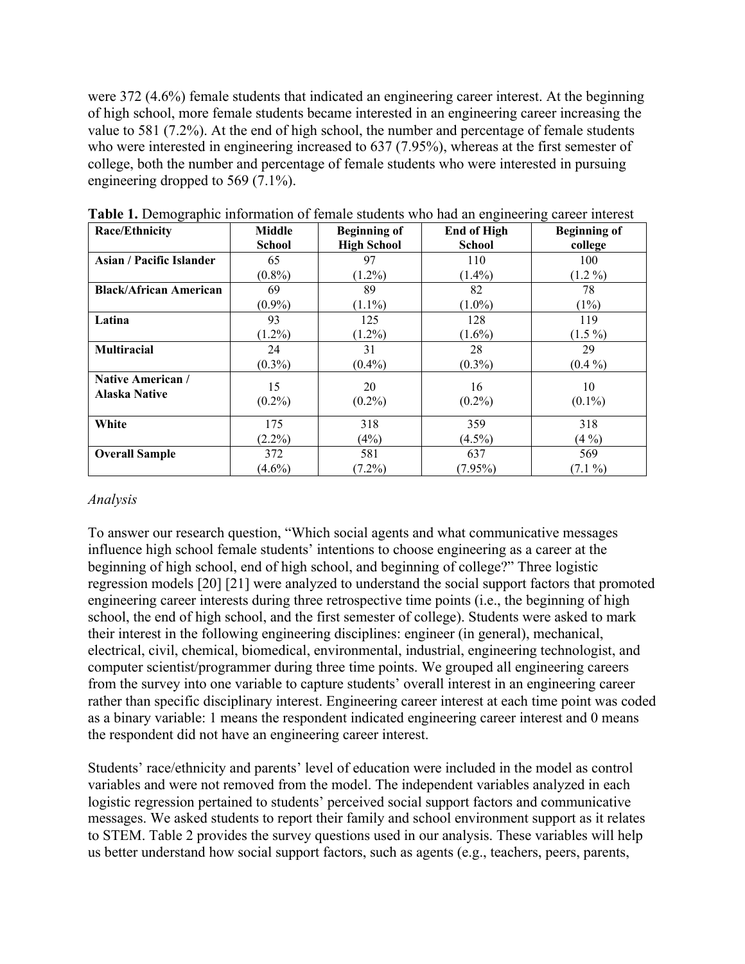were 372 (4.6%) female students that indicated an engineering career interest. At the beginning of high school, more female students became interested in an engineering career increasing the value to 581 (7.2%). At the end of high school, the number and percentage of female students who were interested in engineering increased to 637 (7.95%), whereas at the first semester of college, both the number and percentage of female students who were interested in pursuing engineering dropped to 569 (7.1%).

| <b>Race/Ethnicity</b>           | Middle        | <b>Beginning of</b> | <b>End of High</b> | <b>Beginning of</b> |
|---------------------------------|---------------|---------------------|--------------------|---------------------|
|                                 | <b>School</b> | <b>High School</b>  | <b>School</b>      | college             |
| <b>Asian / Pacific Islander</b> | 65            | 97                  | 110                | 100                 |
|                                 | $(0.8\%)$     | $(1.2\%)$           | $(1.4\%)$          | $(1.2\%)$           |
| <b>Black/African American</b>   | 69            | 89                  | 82                 | 78                  |
|                                 | $(0.9\%)$     | $(1.1\%)$           | $(1.0\%)$          | (1%)                |
| Latina                          | 93            | 125                 | 128                | 119                 |
|                                 | $(1.2\%)$     | $(1.2\%)$           | $(1.6\%)$          | $(1.5\%)$           |
| <b>Multiracial</b>              | 24            | 31                  | 28                 | 29                  |
|                                 | $(0.3\%)$     | $(0.4\%)$           | $(0.3\%)$          | $(0.4\%)$           |
| <b>Native American /</b>        | 15            | 20                  | 16                 | 10                  |
| <b>Alaska Native</b>            | $(0.2\%)$     | $(0.2\%)$           | $(0.2\%)$          | $(0.1\%)$           |
|                                 |               |                     |                    |                     |
| White                           | 175           | 318                 | 359                | 318                 |
|                                 | $(2.2\%)$     | (4%)                | $(4.5\%)$          | $(4\%)$             |
| <b>Overall Sample</b>           | 372           | 581                 | 637                | 569                 |
|                                 | $(4.6\%)$     | $(7.2\%)$           | $(7.95\%)$         | $(7.1\%)$           |

**Table 1.** Demographic information of female students who had an engineering career interest

## *Analysis*

To answer our research question, "Which social agents and what communicative messages influence high school female students' intentions to choose engineering as a career at the beginning of high school, end of high school, and beginning of college?" Three logistic regression models [20] [21] were analyzed to understand the social support factors that promoted engineering career interests during three retrospective time points (i.e., the beginning of high school, the end of high school, and the first semester of college). Students were asked to mark their interest in the following engineering disciplines: engineer (in general), mechanical, electrical, civil, chemical, biomedical, environmental, industrial, engineering technologist, and computer scientist/programmer during three time points. We grouped all engineering careers from the survey into one variable to capture students' overall interest in an engineering career rather than specific disciplinary interest. Engineering career interest at each time point was coded as a binary variable: 1 means the respondent indicated engineering career interest and 0 means the respondent did not have an engineering career interest.

Students' race/ethnicity and parents' level of education were included in the model as control variables and were not removed from the model. The independent variables analyzed in each logistic regression pertained to students' perceived social support factors and communicative messages. We asked students to report their family and school environment support as it relates to STEM. Table 2 provides the survey questions used in our analysis. These variables will help us better understand how social support factors, such as agents (e.g., teachers, peers, parents,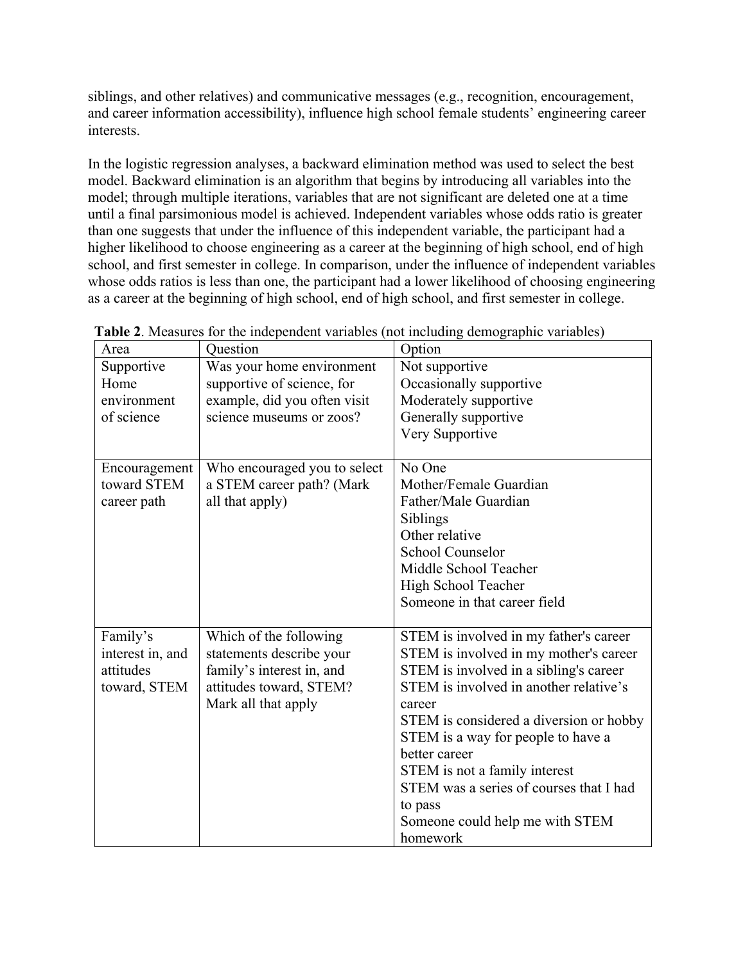siblings, and other relatives) and communicative messages (e.g., recognition, encouragement, and career information accessibility), influence high school female students' engineering career interests.

In the logistic regression analyses, a backward elimination method was used to select the best model. Backward elimination is an algorithm that begins by introducing all variables into the model; through multiple iterations, variables that are not significant are deleted one at a time until a final parsimonious model is achieved. Independent variables whose odds ratio is greater than one suggests that under the influence of this independent variable, the participant had a higher likelihood to choose engineering as a career at the beginning of high school, end of high school, and first semester in college. In comparison, under the influence of independent variables whose odds ratios is less than one, the participant had a lower likelihood of choosing engineering as a career at the beginning of high school, end of high school, and first semester in college.

| Area             | Question                     | Option                                  |
|------------------|------------------------------|-----------------------------------------|
| Supportive       | Was your home environment    | Not supportive                          |
| Home             | supportive of science, for   | Occasionally supportive                 |
| environment      | example, did you often visit | Moderately supportive                   |
| of science       | science museums or zoos?     | Generally supportive                    |
|                  |                              | Very Supportive                         |
|                  |                              |                                         |
| Encouragement    | Who encouraged you to select | No One                                  |
| toward STEM      | a STEM career path? (Mark    | Mother/Female Guardian                  |
| career path      | all that apply)              | Father/Male Guardian                    |
|                  |                              | Siblings                                |
|                  |                              | Other relative                          |
|                  |                              | <b>School Counselor</b>                 |
|                  |                              | Middle School Teacher                   |
|                  |                              | High School Teacher                     |
|                  |                              | Someone in that career field            |
|                  |                              |                                         |
| Family's         | Which of the following       | STEM is involved in my father's career  |
| interest in, and | statements describe your     | STEM is involved in my mother's career  |
| attitudes        | family's interest in, and    | STEM is involved in a sibling's career  |
| toward, STEM     | attitudes toward, STEM?      | STEM is involved in another relative's  |
|                  | Mark all that apply          | career                                  |
|                  |                              | STEM is considered a diversion or hobby |
|                  |                              | STEM is a way for people to have a      |
|                  |                              | better career                           |
|                  |                              | STEM is not a family interest           |
|                  |                              | STEM was a series of courses that I had |
|                  |                              | to pass                                 |
|                  |                              | Someone could help me with STEM         |
|                  |                              | homework                                |

**Table 2**. Measures for the independent variables (not including demographic variables)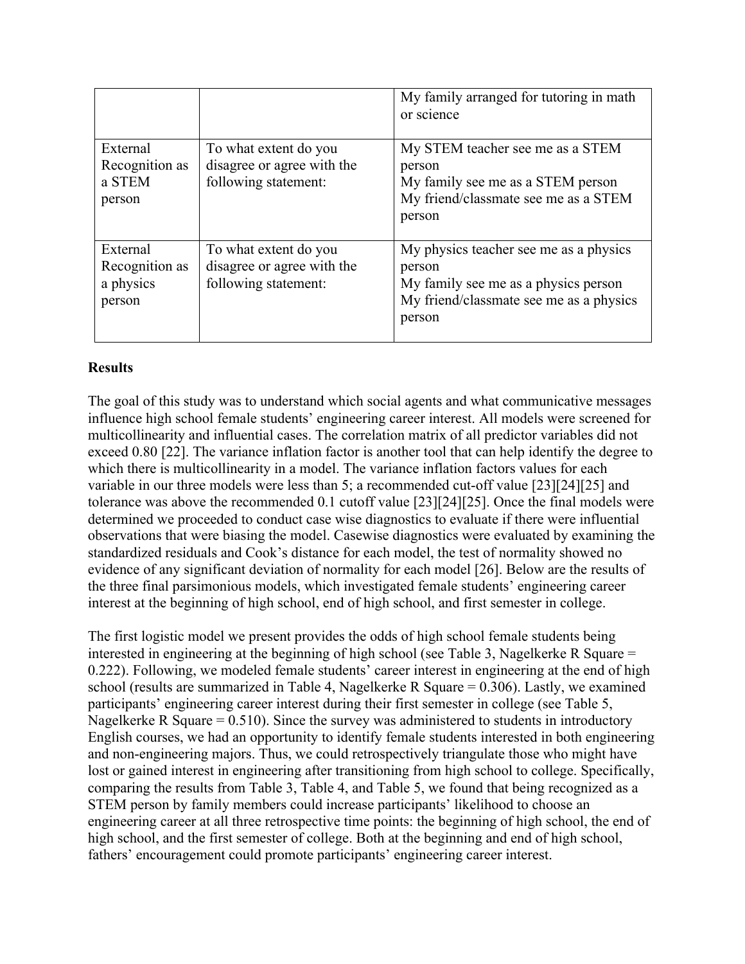|                                                   |                                                                             | My family arranged for tutoring in math<br>or science                                                                                         |
|---------------------------------------------------|-----------------------------------------------------------------------------|-----------------------------------------------------------------------------------------------------------------------------------------------|
| External<br>Recognition as<br>a STEM<br>person    | To what extent do you<br>disagree or agree with the<br>following statement: | My STEM teacher see me as a STEM<br>person<br>My family see me as a STEM person<br>My friend/classmate see me as a STEM<br>person             |
| External<br>Recognition as<br>a physics<br>person | To what extent do you<br>disagree or agree with the<br>following statement: | My physics teacher see me as a physics<br>person<br>My family see me as a physics person<br>My friend/classmate see me as a physics<br>person |

## **Results**

The goal of this study was to understand which social agents and what communicative messages influence high school female students' engineering career interest. All models were screened for multicollinearity and influential cases. The correlation matrix of all predictor variables did not exceed 0.80 [22]. The variance inflation factor is another tool that can help identify the degree to which there is multicollinearity in a model. The variance inflation factors values for each variable in our three models were less than 5; a recommended cut-off value [23][24][25] and tolerance was above the recommended 0.1 cutoff value [23][24][25]. Once the final models were determined we proceeded to conduct case wise diagnostics to evaluate if there were influential observations that were biasing the model. Casewise diagnostics were evaluated by examining the standardized residuals and Cook's distance for each model, the test of normality showed no evidence of any significant deviation of normality for each model [26]. Below are the results of the three final parsimonious models, which investigated female students' engineering career interest at the beginning of high school, end of high school, and first semester in college.

The first logistic model we present provides the odds of high school female students being interested in engineering at the beginning of high school (see Table 3, Nagelkerke R Square = 0.222). Following, we modeled female students' career interest in engineering at the end of high school (results are summarized in Table 4, Nagelkerke R Square = 0.306). Lastly, we examined participants' engineering career interest during their first semester in college (see Table 5, Nagelkerke R Square  $= 0.510$ ). Since the survey was administered to students in introductory English courses, we had an opportunity to identify female students interested in both engineering and non-engineering majors. Thus, we could retrospectively triangulate those who might have lost or gained interest in engineering after transitioning from high school to college. Specifically, comparing the results from Table 3, Table 4, and Table 5, we found that being recognized as a STEM person by family members could increase participants' likelihood to choose an engineering career at all three retrospective time points: the beginning of high school, the end of high school, and the first semester of college. Both at the beginning and end of high school, fathers' encouragement could promote participants' engineering career interest.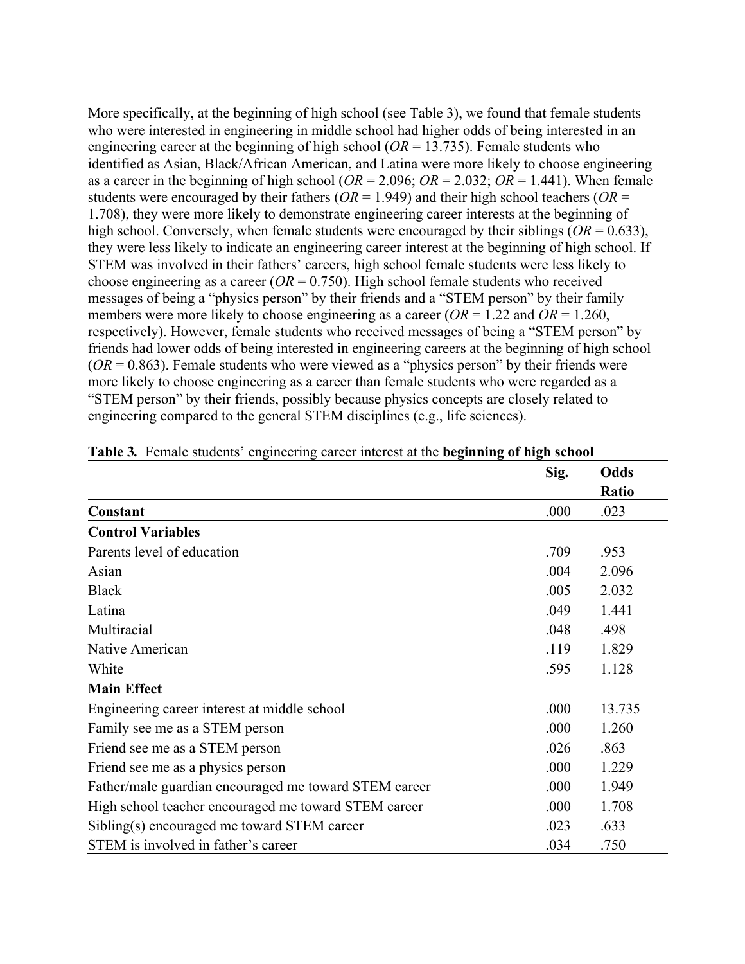More specifically, at the beginning of high school (see Table 3), we found that female students who were interested in engineering in middle school had higher odds of being interested in an engineering career at the beginning of high school ( $OR = 13.735$ ). Female students who identified as Asian, Black/African American, and Latina were more likely to choose engineering as a career in the beginning of high school ( $OR = 2.096$ ;  $OR = 2.032$ ;  $OR = 1.441$ ). When female students were encouraged by their fathers ( $OR = 1.949$ ) and their high school teachers ( $OR =$ 1.708), they were more likely to demonstrate engineering career interests at the beginning of high school. Conversely, when female students were encouraged by their siblings (*OR* = 0.633), they were less likely to indicate an engineering career interest at the beginning of high school. If STEM was involved in their fathers' careers, high school female students were less likely to choose engineering as a career  $(OR = 0.750)$ . High school female students who received messages of being a "physics person" by their friends and a "STEM person" by their family members were more likely to choose engineering as a career ( $OR = 1.22$  and  $OR = 1.260$ , respectively). However, female students who received messages of being a "STEM person" by friends had lower odds of being interested in engineering careers at the beginning of high school  $(OR = 0.863)$ . Female students who were viewed as a "physics person" by their friends were more likely to choose engineering as a career than female students who were regarded as a "STEM person" by their friends, possibly because physics concepts are closely related to engineering compared to the general STEM disciplines (e.g., life sciences).

|                                                       | Sig. | Odds   |
|-------------------------------------------------------|------|--------|
|                                                       |      | Ratio  |
| Constant                                              | .000 | .023   |
| <b>Control Variables</b>                              |      |        |
| Parents level of education                            | .709 | .953   |
| Asian                                                 | .004 | 2.096  |
| <b>Black</b>                                          | .005 | 2.032  |
| Latina                                                | .049 | 1.441  |
| Multiracial                                           | .048 | .498   |
| Native American                                       | .119 | 1.829  |
| White                                                 | .595 | 1.128  |
| <b>Main Effect</b>                                    |      |        |
| Engineering career interest at middle school          | .000 | 13.735 |
| Family see me as a STEM person                        | .000 | 1.260  |
| Friend see me as a STEM person                        | .026 | .863   |
| Friend see me as a physics person                     | .000 | 1.229  |
| Father/male guardian encouraged me toward STEM career | .000 | 1.949  |
| High school teacher encouraged me toward STEM career  | .000 | 1.708  |
| Sibling(s) encouraged me toward STEM career           | .023 | .633   |
| STEM is involved in father's career                   | .034 | .750   |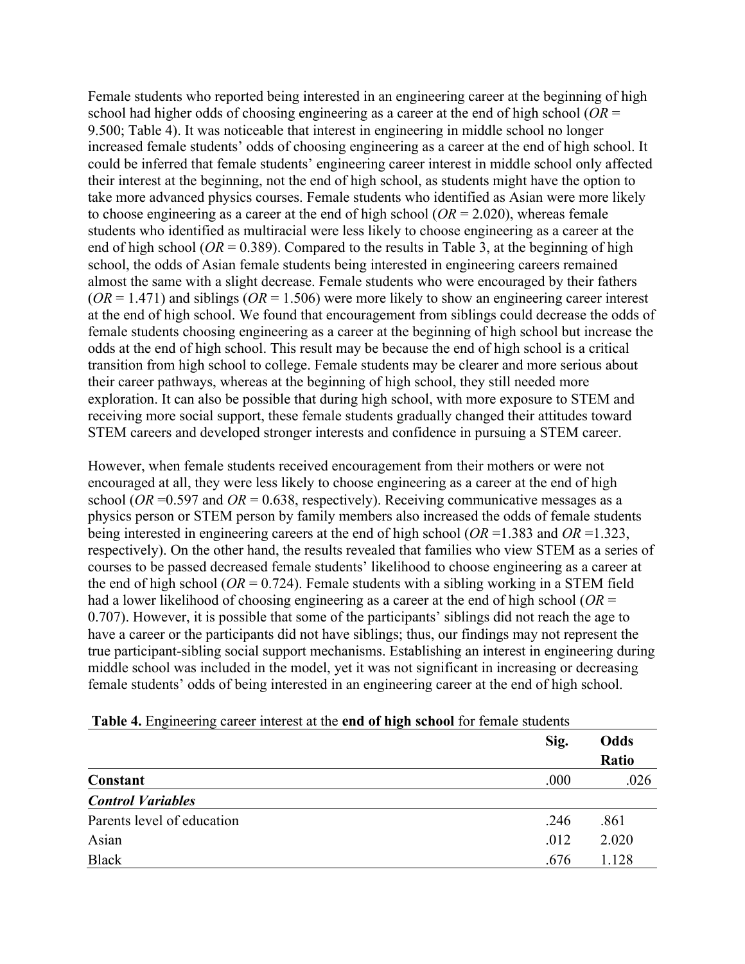Female students who reported being interested in an engineering career at the beginning of high school had higher odds of choosing engineering as a career at the end of high school (*OR* = 9.500; Table 4). It was noticeable that interest in engineering in middle school no longer increased female students' odds of choosing engineering as a career at the end of high school. It could be inferred that female students' engineering career interest in middle school only affected their interest at the beginning, not the end of high school, as students might have the option to take more advanced physics courses. Female students who identified as Asian were more likely to choose engineering as a career at the end of high school (*OR* = 2.020), whereas female students who identified as multiracial were less likely to choose engineering as a career at the end of high school ( $OR = 0.389$ ). Compared to the results in Table 3, at the beginning of high school, the odds of Asian female students being interested in engineering careers remained almost the same with a slight decrease. Female students who were encouraged by their fathers  $(OR = 1.471)$  and siblings  $(OR = 1.506)$  were more likely to show an engineering career interest at the end of high school. We found that encouragement from siblings could decrease the odds of female students choosing engineering as a career at the beginning of high school but increase the odds at the end of high school. This result may be because the end of high school is a critical transition from high school to college. Female students may be clearer and more serious about their career pathways, whereas at the beginning of high school, they still needed more exploration. It can also be possible that during high school, with more exposure to STEM and receiving more social support, these female students gradually changed their attitudes toward STEM careers and developed stronger interests and confidence in pursuing a STEM career.

However, when female students received encouragement from their mothers or were not encouraged at all, they were less likely to choose engineering as a career at the end of high school ( $OR = 0.597$  and  $OR = 0.638$ , respectively). Receiving communicative messages as a physics person or STEM person by family members also increased the odds of female students being interested in engineering careers at the end of high school (*OR* =1.383 and *OR* =1.323, respectively). On the other hand, the results revealed that families who view STEM as a series of courses to be passed decreased female students' likelihood to choose engineering as a career at the end of high school ( $OR = 0.724$ ). Female students with a sibling working in a STEM field had a lower likelihood of choosing engineering as a career at the end of high school (*OR* = 0.707). However, it is possible that some of the participants' siblings did not reach the age to have a career or the participants did not have siblings; thus, our findings may not represent the true participant-sibling social support mechanisms. Establishing an interest in engineering during middle school was included in the model, yet it was not significant in increasing or decreasing female students' odds of being interested in an engineering career at the end of high school.

| $\sqrt{ }$<br>$\overline{\phantom{a}}$ | - |      |       |
|----------------------------------------|---|------|-------|
|                                        |   | Sig. | Odds  |
|                                        |   |      | Ratio |
| Constant                               |   | .000 | .026  |
| <b>Control Variables</b>               |   |      |       |
| Parents level of education             |   | .246 | .861  |
| Asian                                  |   | .012 | 2.020 |
| <b>Black</b>                           |   | .676 | 1.128 |
|                                        |   |      |       |

| Table 4. Engineering career interest at the end of high school for female students |
|------------------------------------------------------------------------------------|
|------------------------------------------------------------------------------------|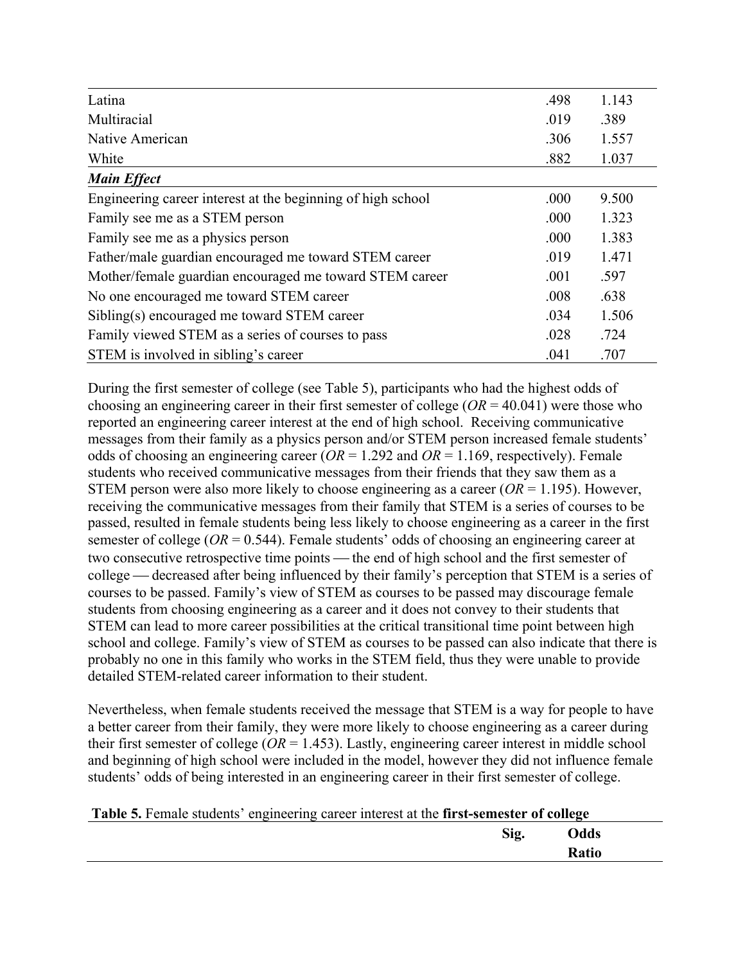| Latina                                                      | .498 | 1.143 |
|-------------------------------------------------------------|------|-------|
| Multiracial                                                 | .019 | .389  |
| Native American                                             | .306 | 1.557 |
| White                                                       | .882 | 1.037 |
| <b>Main Effect</b>                                          |      |       |
| Engineering career interest at the beginning of high school | .000 | 9.500 |
| Family see me as a STEM person                              | .000 | 1.323 |
| Family see me as a physics person                           | .000 | 1.383 |
| Father/male guardian encouraged me toward STEM career       | .019 | 1.471 |
| Mother/female guardian encouraged me toward STEM career     | .001 | .597  |
| No one encouraged me toward STEM career                     | .008 | .638  |
| Sibling(s) encouraged me toward STEM career                 | .034 | 1.506 |
| Family viewed STEM as a series of courses to pass           | .028 | .724  |
| STEM is involved in sibling's career                        | .041 | .707  |

During the first semester of college (see Table 5), participants who had the highest odds of choosing an engineering career in their first semester of college (*OR* = 40.041) were those who reported an engineering career interest at the end of high school. Receiving communicative messages from their family as a physics person and/or STEM person increased female students' odds of choosing an engineering career (*OR* = 1.292 and *OR* = 1.169, respectively). Female students who received communicative messages from their friends that they saw them as a STEM person were also more likely to choose engineering as a career (*OR* = 1.195). However, receiving the communicative messages from their family that STEM is a series of courses to be passed, resulted in female students being less likely to choose engineering as a career in the first semester of college (*OR* = 0.544). Female students' odds of choosing an engineering career at two consecutive retrospective time points — the end of high school and the first semester of college — decreased after being influenced by their family's perception that STEM is a series of courses to be passed. Family's view of STEM as courses to be passed may discourage female students from choosing engineering as a career and it does not convey to their students that STEM can lead to more career possibilities at the critical transitional time point between high school and college. Family's view of STEM as courses to be passed can also indicate that there is probably no one in this family who works in the STEM field, thus they were unable to provide detailed STEM-related career information to their student.

Nevertheless, when female students received the message that STEM is a way for people to have a better career from their family, they were more likely to choose engineering as a career during their first semester of college ( $OR = 1.453$ ). Lastly, engineering career interest in middle school and beginning of high school were included in the model, however they did not influence female students' odds of being interested in an engineering career in their first semester of college.

| Table 5. Female students' engineering career interest at the first-semester of college |      |              |
|----------------------------------------------------------------------------------------|------|--------------|
|                                                                                        | Sig. | Odds         |
|                                                                                        |      | <b>Ratio</b> |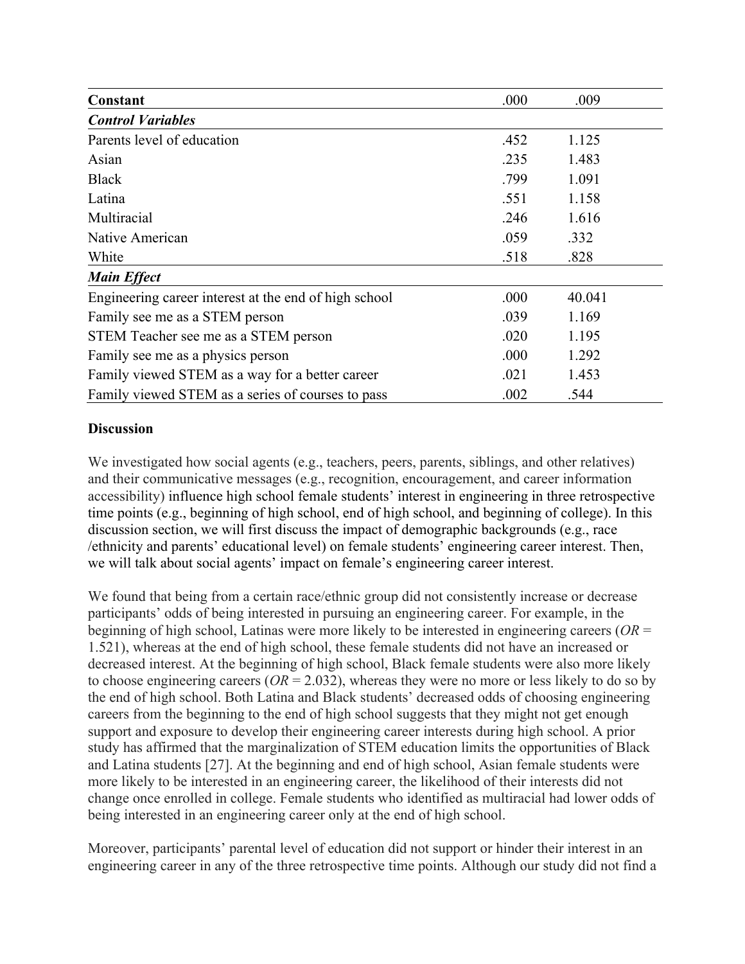| Constant                                              | .000 | .009   |  |
|-------------------------------------------------------|------|--------|--|
| <b>Control Variables</b>                              |      |        |  |
| Parents level of education                            | .452 | 1.125  |  |
| Asian                                                 | .235 | 1.483  |  |
| <b>Black</b>                                          | .799 | 1.091  |  |
| Latina                                                | .551 | 1.158  |  |
| Multiracial                                           | .246 | 1.616  |  |
| Native American                                       | .059 | .332   |  |
| White                                                 | .518 | .828   |  |
| <b>Main Effect</b>                                    |      |        |  |
| Engineering career interest at the end of high school | .000 | 40.041 |  |
| Family see me as a STEM person                        | .039 | 1.169  |  |
| STEM Teacher see me as a STEM person                  | .020 | 1.195  |  |
| Family see me as a physics person                     | .000 | 1.292  |  |
| Family viewed STEM as a way for a better career       | .021 | 1.453  |  |
| Family viewed STEM as a series of courses to pass     | .002 | .544   |  |

#### **Discussion**

We investigated how social agents (e.g., teachers, peers, parents, siblings, and other relatives) and their communicative messages (e.g., recognition, encouragement, and career information accessibility) influence high school female students' interest in engineering in three retrospective time points (e.g., beginning of high school, end of high school, and beginning of college). In this discussion section, we will first discuss the impact of demographic backgrounds (e.g., race /ethnicity and parents' educational level) on female students' engineering career interest. Then, we will talk about social agents' impact on female's engineering career interest.

We found that being from a certain race/ethnic group did not consistently increase or decrease participants' odds of being interested in pursuing an engineering career. For example, in the beginning of high school, Latinas were more likely to be interested in engineering careers (*OR* = 1.521), whereas at the end of high school, these female students did not have an increased or decreased interest. At the beginning of high school, Black female students were also more likely to choose engineering careers ( $OR = 2.032$ ), whereas they were no more or less likely to do so by the end of high school. Both Latina and Black students' decreased odds of choosing engineering careers from the beginning to the end of high school suggests that they might not get enough support and exposure to develop their engineering career interests during high school. A prior study has affirmed that the marginalization of STEM education limits the opportunities of Black and Latina students [27]. At the beginning and end of high school, Asian female students were more likely to be interested in an engineering career, the likelihood of their interests did not change once enrolled in college. Female students who identified as multiracial had lower odds of being interested in an engineering career only at the end of high school.

Moreover, participants' parental level of education did not support or hinder their interest in an engineering career in any of the three retrospective time points. Although our study did not find a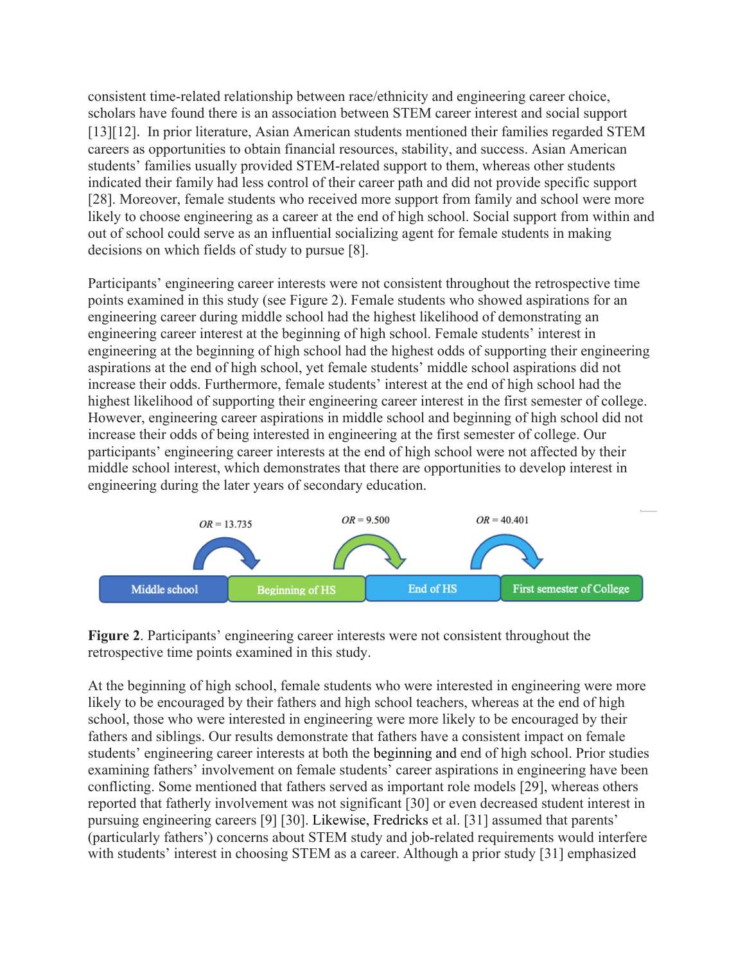consistent time-related relationship between race/ethnicity and engineering career choice, scholars have found there is an association between STEM career interest and social support [13][12]. In prior literature, Asian American students mentioned their families regarded STEM careers as opportunities to obtain financial resources, stability, and success. Asian American students' families usually provided STEM-related support to them, whereas other students indicated their family had less control of their career path and did not provide specific support [28]. Moreover, female students who received more support from family and school were more likely to choose engineering as a career at the end of high school. Social support from within and out of school could serve as an influential socializing agent for female students in making decisions on which fields of study to pursue [8].

Participants' engineering career interests were not consistent throughout the retrospective time points examined in this study (see Figure 2). Female students who showed aspirations for an engineering career during middle school had the highest likelihood of demonstrating an engineering career interest at the beginning of high school. Female students' interest in engineering at the beginning of high school had the highest odds of supporting their engineering aspirations at the end of high school, yet female students' middle school aspirations did not increase their odds. Furthermore, female students' interest at the end of high school had the highest likelihood of supporting their engineering career interest in the first semester of college. However, engineering career aspirations in middle school and beginning of high school did not increase their odds of being interested in engineering at the first semester of college. Our participants' engineering career interests at the end of high school were not affected by their middle school interest, which demonstrates that there are opportunities to develop interest in engineering during the later years of secondary education.



**Figure 2**. Participants' engineering career interests were not consistent throughout the retrospective time points examined in this study.

At the beginning of high school, female students who were interested in engineering were more likely to be encouraged by their fathers and high school teachers, whereas at the end of high school, those who were interested in engineering were more likely to be encouraged by their fathers and siblings. Our results demonstrate that fathers have a consistent impact on female students' engineering career interests at both the beginning and end of high school. Prior studies examining fathers' involvement on female students' career aspirations in engineering have been conflicting. Some mentioned that fathers served as important role models [29], whereas others reported that fatherly involvement was not significant [30] or even decreased student interest in pursuing engineering careers [9] [30]. Likewise, Fredricks et al. [31] assumed that parents' (particularly fathers') concerns about STEM study and job-related requirements would interfere with students' interest in choosing STEM as a career. Although a prior study [31] emphasized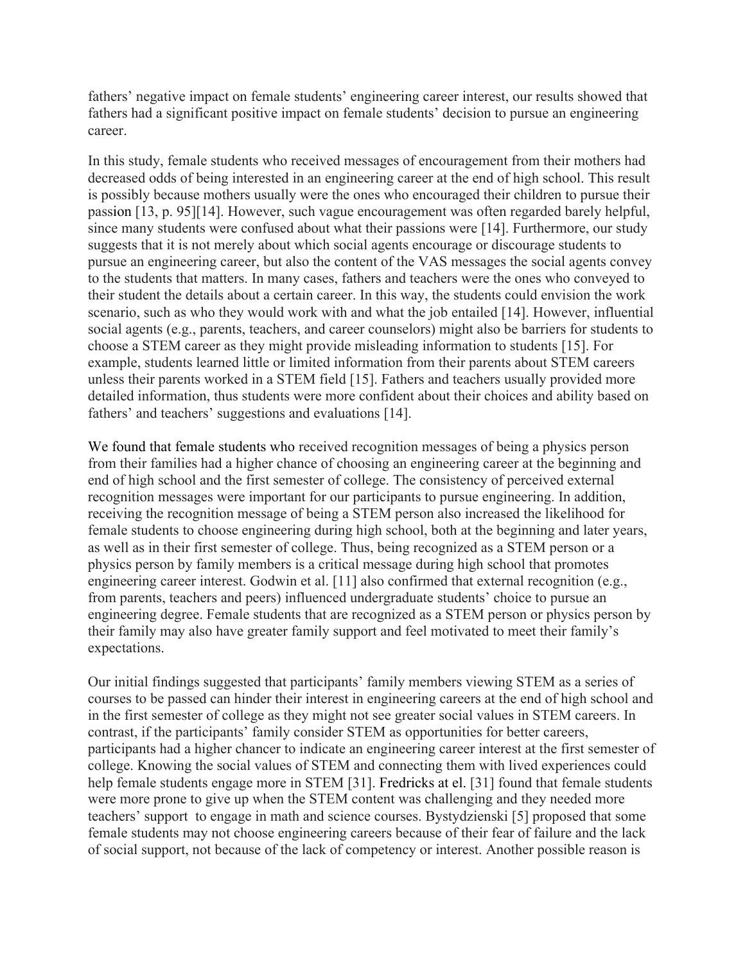fathers' negative impact on female students' engineering career interest, our results showed that fathers had a significant positive impact on female students' decision to pursue an engineering career.

In this study, female students who received messages of encouragement from their mothers had decreased odds of being interested in an engineering career at the end of high school. This result is possibly because mothers usually were the ones who encouraged their children to pursue their passion [13, p. 95][14]. However, such vague encouragement was often regarded barely helpful, since many students were confused about what their passions were [14]. Furthermore, our study suggests that it is not merely about which social agents encourage or discourage students to pursue an engineering career, but also the content of the VAS messages the social agents convey to the students that matters. In many cases, fathers and teachers were the ones who conveyed to their student the details about a certain career. In this way, the students could envision the work scenario, such as who they would work with and what the job entailed [14]. However, influential social agents (e.g., parents, teachers, and career counselors) might also be barriers for students to choose a STEM career as they might provide misleading information to students [15]. For example, students learned little or limited information from their parents about STEM careers unless their parents worked in a STEM field [15]. Fathers and teachers usually provided more detailed information, thus students were more confident about their choices and ability based on fathers' and teachers' suggestions and evaluations [14].

We found that female students who received recognition messages of being a physics person from their families had a higher chance of choosing an engineering career at the beginning and end of high school and the first semester of college. The consistency of perceived external recognition messages were important for our participants to pursue engineering. In addition, receiving the recognition message of being a STEM person also increased the likelihood for female students to choose engineering during high school, both at the beginning and later years, as well as in their first semester of college. Thus, being recognized as a STEM person or a physics person by family members is a critical message during high school that promotes engineering career interest. Godwin et al. [11] also confirmed that external recognition (e.g., from parents, teachers and peers) influenced undergraduate students' choice to pursue an engineering degree. Female students that are recognized as a STEM person or physics person by their family may also have greater family support and feel motivated to meet their family's expectations.

Our initial findings suggested that participants' family members viewing STEM as a series of courses to be passed can hinder their interest in engineering careers at the end of high school and in the first semester of college as they might not see greater social values in STEM careers. In contrast, if the participants' family consider STEM as opportunities for better careers, participants had a higher chancer to indicate an engineering career interest at the first semester of college. Knowing the social values of STEM and connecting them with lived experiences could help female students engage more in STEM [31]. Fredricks at el. [31] found that female students were more prone to give up when the STEM content was challenging and they needed more teachers' support to engage in math and science courses. Bystydzienski [5] proposed that some female students may not choose engineering careers because of their fear of failure and the lack of social support, not because of the lack of competency or interest. Another possible reason is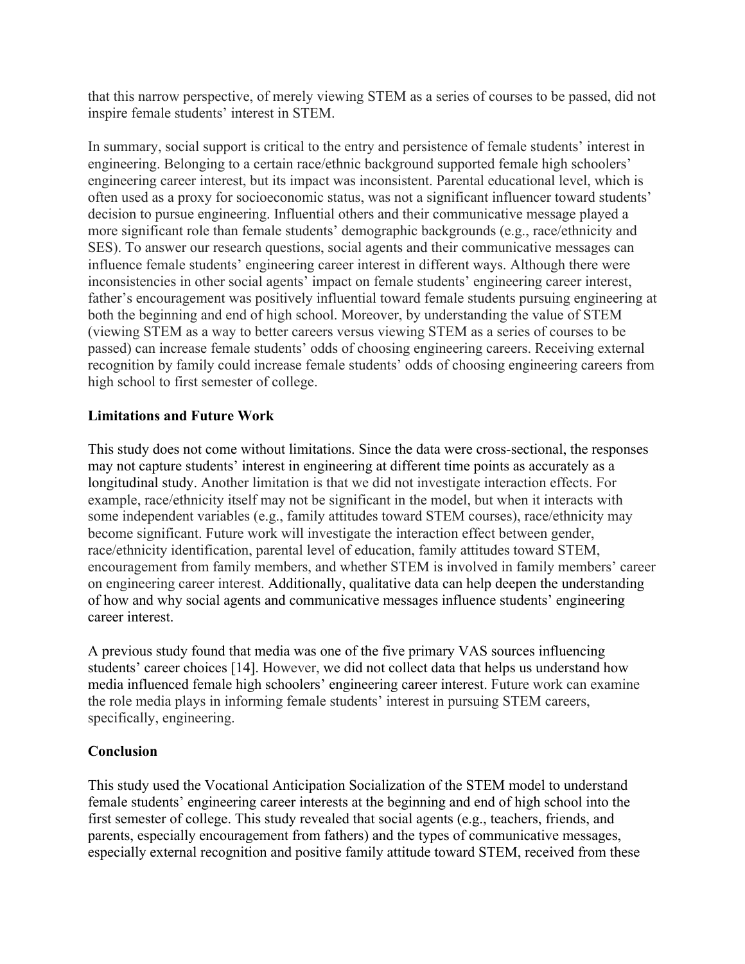that this narrow perspective, of merely viewing STEM as a series of courses to be passed, did not inspire female students' interest in STEM.

In summary, social support is critical to the entry and persistence of female students' interest in engineering. Belonging to a certain race/ethnic background supported female high schoolers' engineering career interest, but its impact was inconsistent. Parental educational level, which is often used as a proxy for socioeconomic status, was not a significant influencer toward students' decision to pursue engineering. Influential others and their communicative message played a more significant role than female students' demographic backgrounds (e.g., race/ethnicity and SES). To answer our research questions, social agents and their communicative messages can influence female students' engineering career interest in different ways. Although there were inconsistencies in other social agents' impact on female students' engineering career interest, father's encouragement was positively influential toward female students pursuing engineering at both the beginning and end of high school. Moreover, by understanding the value of STEM (viewing STEM as a way to better careers versus viewing STEM as a series of courses to be passed) can increase female students' odds of choosing engineering careers. Receiving external recognition by family could increase female students' odds of choosing engineering careers from high school to first semester of college.

## **Limitations and Future Work**

This study does not come without limitations. Since the data were cross-sectional, the responses may not capture students' interest in engineering at different time points as accurately as a longitudinal study. Another limitation is that we did not investigate interaction effects. For example, race/ethnicity itself may not be significant in the model, but when it interacts with some independent variables (e.g., family attitudes toward STEM courses), race/ethnicity may become significant. Future work will investigate the interaction effect between gender, race/ethnicity identification, parental level of education, family attitudes toward STEM, encouragement from family members, and whether STEM is involved in family members' career on engineering career interest. Additionally, qualitative data can help deepen the understanding of how and why social agents and communicative messages influence students' engineering career interest.

A previous study found that media was one of the five primary VAS sources influencing students' career choices [14]. However, we did not collect data that helps us understand how media influenced female high schoolers' engineering career interest. Future work can examine the role media plays in informing female students' interest in pursuing STEM careers, specifically, engineering.

## **Conclusion**

This study used the Vocational Anticipation Socialization of the STEM model to understand female students' engineering career interests at the beginning and end of high school into the first semester of college. This study revealed that social agents (e.g., teachers, friends, and parents, especially encouragement from fathers) and the types of communicative messages, especially external recognition and positive family attitude toward STEM, received from these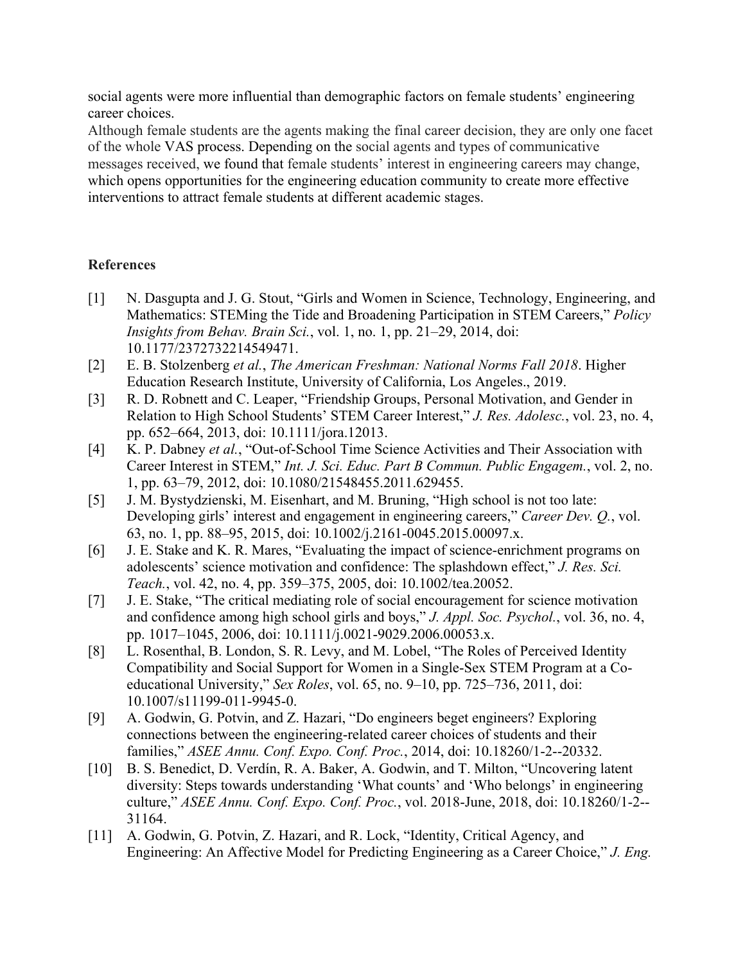social agents were more influential than demographic factors on female students' engineering career choices.

Although female students are the agents making the final career decision, they are only one facet of the whole VAS process. Depending on the social agents and types of communicative messages received, we found that female students' interest in engineering careers may change, which opens opportunities for the engineering education community to create more effective interventions to attract female students at different academic stages.

## **References**

- [1] N. Dasgupta and J. G. Stout, "Girls and Women in Science, Technology, Engineering, and Mathematics: STEMing the Tide and Broadening Participation in STEM Careers," *Policy Insights from Behav. Brain Sci.*, vol. 1, no. 1, pp. 21–29, 2014, doi: 10.1177/2372732214549471.
- [2] E. B. Stolzenberg *et al.*, *The American Freshman: National Norms Fall 2018*. Higher Education Research Institute, University of California, Los Angeles., 2019.
- [3] R. D. Robnett and C. Leaper, "Friendship Groups, Personal Motivation, and Gender in Relation to High School Students' STEM Career Interest," *J. Res. Adolesc.*, vol. 23, no. 4, pp. 652–664, 2013, doi: 10.1111/jora.12013.
- [4] K. P. Dabney *et al.*, "Out-of-School Time Science Activities and Their Association with Career Interest in STEM," *Int. J. Sci. Educ. Part B Commun. Public Engagem.*, vol. 2, no. 1, pp. 63–79, 2012, doi: 10.1080/21548455.2011.629455.
- [5] J. M. Bystydzienski, M. Eisenhart, and M. Bruning, "High school is not too late: Developing girls' interest and engagement in engineering careers," *Career Dev. Q.*, vol. 63, no. 1, pp. 88–95, 2015, doi: 10.1002/j.2161-0045.2015.00097.x.
- [6] J. E. Stake and K. R. Mares, "Evaluating the impact of science-enrichment programs on adolescents' science motivation and confidence: The splashdown effect," *J. Res. Sci. Teach.*, vol. 42, no. 4, pp. 359–375, 2005, doi: 10.1002/tea.20052.
- [7] J. E. Stake, "The critical mediating role of social encouragement for science motivation and confidence among high school girls and boys," *J. Appl. Soc. Psychol.*, vol. 36, no. 4, pp. 1017–1045, 2006, doi: 10.1111/j.0021-9029.2006.00053.x.
- [8] L. Rosenthal, B. London, S. R. Levy, and M. Lobel, "The Roles of Perceived Identity" Compatibility and Social Support for Women in a Single-Sex STEM Program at a Coeducational University," *Sex Roles*, vol. 65, no. 9–10, pp. 725–736, 2011, doi: 10.1007/s11199-011-9945-0.
- [9] A. Godwin, G. Potvin, and Z. Hazari, "Do engineers beget engineers? Exploring connections between the engineering-related career choices of students and their families," *ASEE Annu. Conf. Expo. Conf. Proc.*, 2014, doi: 10.18260/1-2--20332.
- [10] B. S. Benedict, D. Verdín, R. A. Baker, A. Godwin, and T. Milton, "Uncovering latent diversity: Steps towards understanding 'What counts' and 'Who belongs' in engineering culture," *ASEE Annu. Conf. Expo. Conf. Proc.*, vol. 2018-June, 2018, doi: 10.18260/1-2-- 31164.
- [11] A. Godwin, G. Potvin, Z. Hazari, and R. Lock, "Identity, Critical Agency, and Engineering: An Affective Model for Predicting Engineering as a Career Choice," *J. Eng.*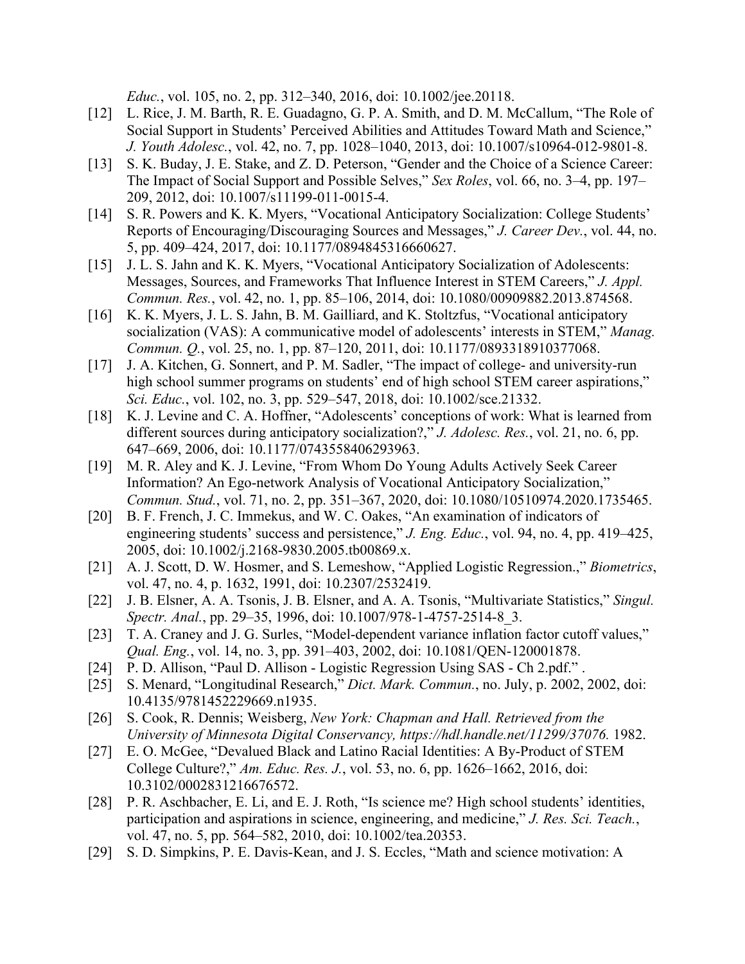*Educ.*, vol. 105, no. 2, pp. 312–340, 2016, doi: 10.1002/jee.20118.

- [12] L. Rice, J. M. Barth, R. E. Guadagno, G. P. A. Smith, and D. M. McCallum, "The Role of Social Support in Students' Perceived Abilities and Attitudes Toward Math and Science," *J. Youth Adolesc.*, vol. 42, no. 7, pp. 1028–1040, 2013, doi: 10.1007/s10964-012-9801-8.
- [13] S. K. Buday, J. E. Stake, and Z. D. Peterson, "Gender and the Choice of a Science Career: The Impact of Social Support and Possible Selves," *Sex Roles*, vol. 66, no. 3–4, pp. 197– 209, 2012, doi: 10.1007/s11199-011-0015-4.
- [14] S. R. Powers and K. K. Myers, "Vocational Anticipatory Socialization: College Students' Reports of Encouraging/Discouraging Sources and Messages," *J. Career Dev.*, vol. 44, no. 5, pp. 409–424, 2017, doi: 10.1177/0894845316660627.
- [15] J. L. S. Jahn and K. K. Myers, "Vocational Anticipatory Socialization of Adolescents: Messages, Sources, and Frameworks That Influence Interest in STEM Careers," *J. Appl. Commun. Res.*, vol. 42, no. 1, pp. 85–106, 2014, doi: 10.1080/00909882.2013.874568.
- [16] K. K. Myers, J. L. S. Jahn, B. M. Gailliard, and K. Stoltzfus, "Vocational anticipatory socialization (VAS): A communicative model of adolescents' interests in STEM," *Manag. Commun. Q.*, vol. 25, no. 1, pp. 87–120, 2011, doi: 10.1177/0893318910377068.
- [17] J. A. Kitchen, G. Sonnert, and P. M. Sadler, "The impact of college- and university-run high school summer programs on students' end of high school STEM career aspirations," *Sci. Educ.*, vol. 102, no. 3, pp. 529–547, 2018, doi: 10.1002/sce.21332.
- [18] K. J. Levine and C. A. Hoffner, "Adolescents' conceptions of work: What is learned from different sources during anticipatory socialization?," *J. Adolesc. Res.*, vol. 21, no. 6, pp. 647–669, 2006, doi: 10.1177/0743558406293963.
- [19] M. R. Aley and K. J. Levine, "From Whom Do Young Adults Actively Seek Career Information? An Ego-network Analysis of Vocational Anticipatory Socialization," *Commun. Stud.*, vol. 71, no. 2, pp. 351–367, 2020, doi: 10.1080/10510974.2020.1735465.
- [20] B. F. French, J. C. Immekus, and W. C. Oakes, "An examination of indicators of engineering students' success and persistence," *J. Eng. Educ.*, vol. 94, no. 4, pp. 419–425, 2005, doi: 10.1002/j.2168-9830.2005.tb00869.x.
- [21] A. J. Scott, D. W. Hosmer, and S. Lemeshow, "Applied Logistic Regression.," *Biometrics*, vol. 47, no. 4, p. 1632, 1991, doi: 10.2307/2532419.
- [22] J. B. Elsner, A. A. Tsonis, J. B. Elsner, and A. A. Tsonis, "Multivariate Statistics," *Singul. Spectr. Anal.*, pp. 29–35, 1996, doi: 10.1007/978-1-4757-2514-8\_3.
- [23] T. A. Craney and J. G. Surles, "Model-dependent variance inflation factor cutoff values," *Qual. Eng.*, vol. 14, no. 3, pp. 391–403, 2002, doi: 10.1081/QEN-120001878.
- [24] P. D. Allison, "Paul D. Allison Logistic Regression Using SAS Ch 2.pdf.".
- [25] S. Menard, "Longitudinal Research," *Dict. Mark. Commun.*, no. July, p. 2002, 2002, doi: 10.4135/9781452229669.n1935.
- [26] S. Cook, R. Dennis; Weisberg, *New York: Chapman and Hall. Retrieved from the University of Minnesota Digital Conservancy, https://hdl.handle.net/11299/37076.* 1982.
- [27] E. O. McGee, "Devalued Black and Latino Racial Identities: A By-Product of STEM College Culture?," *Am. Educ. Res. J.*, vol. 53, no. 6, pp. 1626–1662, 2016, doi: 10.3102/0002831216676572.
- [28] P. R. Aschbacher, E. Li, and E. J. Roth, "Is science me? High school students' identities, participation and aspirations in science, engineering, and medicine," *J. Res. Sci. Teach.*, vol. 47, no. 5, pp. 564–582, 2010, doi: 10.1002/tea.20353.
- [29] S. D. Simpkins, P. E. Davis-Kean, and J. S. Eccles, "Math and science motivation: A